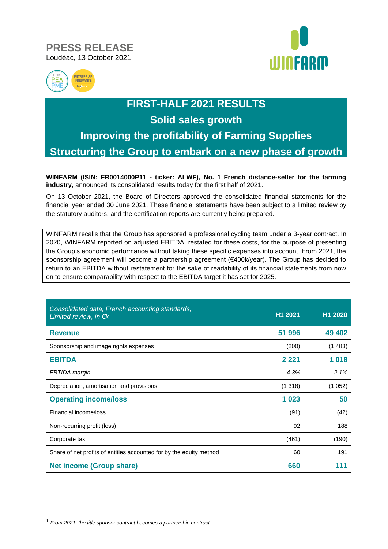### **PRESS RELEASE** Loudéac, 13 October 2021





# **FIRST-HALF 2021 RESULTS Solid sales growth Improving the profitability of Farming Supplies Structuring the Group to embark on a new phase of growth**

**WINFARM (ISIN: FR0014000P11 - ticker: ALWF), No. 1 French distance-seller for the farming industry,** announced its consolidated results today for the first half of 2021.

On 13 October 2021, the Board of Directors approved the consolidated financial statements for the financial year ended 30 June 2021. These financial statements have been subject to a limited review by the statutory auditors, and the certification reports are currently being prepared.

WINFARM recalls that the Group has sponsored a professional cycling team under a 3-year contract. In 2020, WINFARM reported on adjusted EBITDA, restated for these costs, for the purpose of presenting the Group's economic performance without taking these specific expenses into account. From 2021, the sponsorship agreement will become a partnership agreement (€400k/year). The Group has decided to return to an EBITDA without restatement for the sake of readability of its financial statements from now on to ensure comparability with respect to the EBITDA target it has set for 2025.

| Consolidated data, French accounting standards,<br>Limited review, in $\epsilon$ <sub>k</sub> | H1 2021 | H1 2020 |
|-----------------------------------------------------------------------------------------------|---------|---------|
| <b>Revenue</b>                                                                                | 51 996  | 49 402  |
| Sponsorship and image rights expenses <sup>1</sup>                                            | (200)   | (1483)  |
| <b>EBITDA</b>                                                                                 | 2 2 2 1 | 1018    |
| EBTIDA margin                                                                                 | 4.3%    | 2.1%    |
| Depreciation, amortisation and provisions                                                     | (1318)  | (1052)  |
| <b>Operating income/loss</b>                                                                  | 1023    | 50      |
| Financial income/loss                                                                         | (91)    | (42)    |
| Non-recurring profit (loss)                                                                   | 92      | 188     |
| Corporate tax                                                                                 | (461)   | (190)   |
| Share of net profits of entities accounted for by the equity method                           | 60      | 191     |
| <b>Net income (Group share)</b>                                                               | 660     |         |

<sup>1</sup> *From 2021, the title sponsor contract becomes a partnership contract*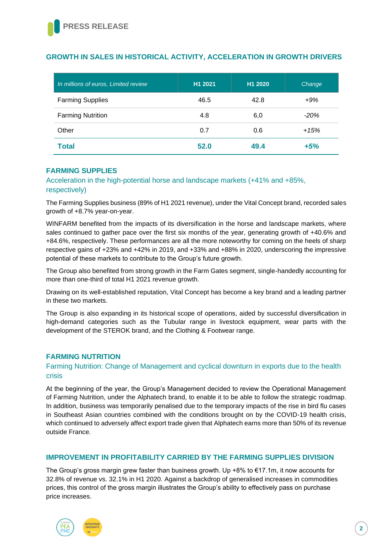#### **GROWTH IN SALES IN HISTORICAL ACTIVITY, ACCELERATION IN GROWTH DRIVERS**

| In millions of euros, Limited review | H1 2021 | H1 2020 | Change  |
|--------------------------------------|---------|---------|---------|
| <b>Farming Supplies</b>              | 46.5    | 42.8    | $+9%$   |
| <b>Farming Nutrition</b>             | 4.8     | 6,0     | $-20\%$ |
| Other                                | 0.7     | 0.6     | $+15%$  |
| <b>Total</b>                         | 52.0    | 49.4    | $+5%$   |

#### **FARMING SUPPLIES**

Acceleration in the high-potential horse and landscape markets (+41% and +85%, respectively)

The Farming Supplies business (89% of H1 2021 revenue), under the Vital Concept brand, recorded sales growth of +8.7% year-on-year.

WINFARM benefited from the impacts of its diversification in the horse and landscape markets, where sales continued to gather pace over the first six months of the year, generating growth of +40.6% and +84.6%, respectively. These performances are all the more noteworthy for coming on the heels of sharp respective gains of +23% and +42% in 2019, and +33% and +88% in 2020, underscoring the impressive potential of these markets to contribute to the Group's future growth.

The Group also benefited from strong growth in the Farm Gates segment, single-handedly accounting for more than one-third of total H1 2021 revenue growth.

Drawing on its well-established reputation, Vital Concept has become a key brand and a leading partner in these two markets.

The Group is also expanding in its historical scope of operations, aided by successful diversification in high-demand categories such as the Tubular range in livestock equipment, wear parts with the development of the STEROK brand, and the Clothing & Footwear range.

#### **FARMING NUTRITION**

#### Farming Nutrition: Change of Management and cyclical downturn in exports due to the health crisis

At the beginning of the year, the Group's Management decided to review the Operational Management of Farming Nutrition, under the Alphatech brand, to enable it to be able to follow the strategic roadmap. In addition, business was temporarily penalised due to the temporary impacts of the rise in bird flu cases in Southeast Asian countries combined with the conditions brought on by the COVID-19 health crisis, which continued to adversely affect export trade given that Alphatech earns more than 50% of its revenue outside France.

#### **IMPROVEMENT IN PROFITABILITY CARRIED BY THE FARMING SUPPLIES DIVISION**

The Group's gross margin grew faster than business growth. Up +8% to €17.1m, it now accounts for 32.8% of revenue vs. 32.1% in H1 2020. Against a backdrop of generalised increases in commodities prices, this control of the gross margin illustrates the Group's ability to effectively pass on purchase price increases.

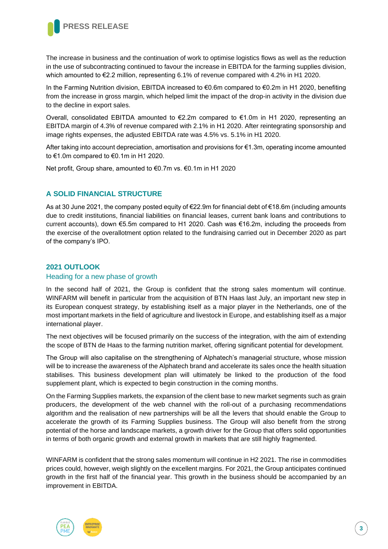

The increase in business and the continuation of work to optimise logistics flows as well as the reduction in the use of subcontracting continued to favour the increase in EBITDA for the farming supplies division, which amounted to €2.2 million, representing 6.1% of revenue compared with 4.2% in H1 2020.

In the Farming Nutrition division, EBITDA increased to €0.6m compared to €0.2m in H1 2020, benefiting from the increase in gross margin, which helped limit the impact of the drop-in activity in the division due to the decline in export sales.

Overall, consolidated EBITDA amounted to €2.2m compared to €1.0m in H1 2020, representing an EBITDA margin of 4.3% of revenue compared with 2.1% in H1 2020. After reintegrating sponsorship and image rights expenses, the adjusted EBITDA rate was 4.5% vs. 5.1% in H1 2020.

After taking into account depreciation, amortisation and provisions for €1.3m, operating income amounted to €1.0m compared to €0.1m in H1 2020.

Net profit, Group share, amounted to €0.7m vs. €0.1m in H1 2020

#### **A SOLID FINANCIAL STRUCTURE**

As at 30 June 2021, the company posted equity of €22.9m for financial debt of €18.6m (including amounts due to credit institutions, financial liabilities on financial leases, current bank loans and contributions to current accounts), down €5.5m compared to H1 2020. Cash was €16.2m, including the proceeds from the exercise of the overallotment option related to the fundraising carried out in December 2020 as part of the company's IPO.

#### **2021 OUTLOOK**

#### Heading for a new phase of growth

In the second half of 2021, the Group is confident that the strong sales momentum will continue. WINFARM will benefit in particular from the acquisition of BTN Haas last July, an important new step in its European conquest strategy, by establishing itself as a major player in the Netherlands, one of the most important markets in the field of agriculture and livestock in Europe, and establishing itself as a major international player.

The next objectives will be focused primarily on the success of the integration, with the aim of extending the scope of BTN de Haas to the farming nutrition market, offering significant potential for development.

The Group will also capitalise on the strengthening of Alphatech's managerial structure, whose mission will be to increase the awareness of the Alphatech brand and accelerate its sales once the health situation stabilises. This business development plan will ultimately be linked to the production of the food supplement plant, which is expected to begin construction in the coming months.

On the Farming Supplies markets, the expansion of the client base to new market segments such as grain producers, the development of the web channel with the roll-out of a purchasing recommendations algorithm and the realisation of new partnerships will be all the levers that should enable the Group to accelerate the growth of its Farming Supplies business. The Group will also benefit from the strong potential of the horse and landscape markets, a growth driver for the Group that offers solid opportunities in terms of both organic growth and external growth in markets that are still highly fragmented.

WINFARM is confident that the strong sales momentum will continue in H2 2021. The rise in commodities prices could, however, weigh slightly on the excellent margins. For 2021, the Group anticipates continued growth in the first half of the financial year. This growth in the business should be accompanied by an improvement in EBITDA.